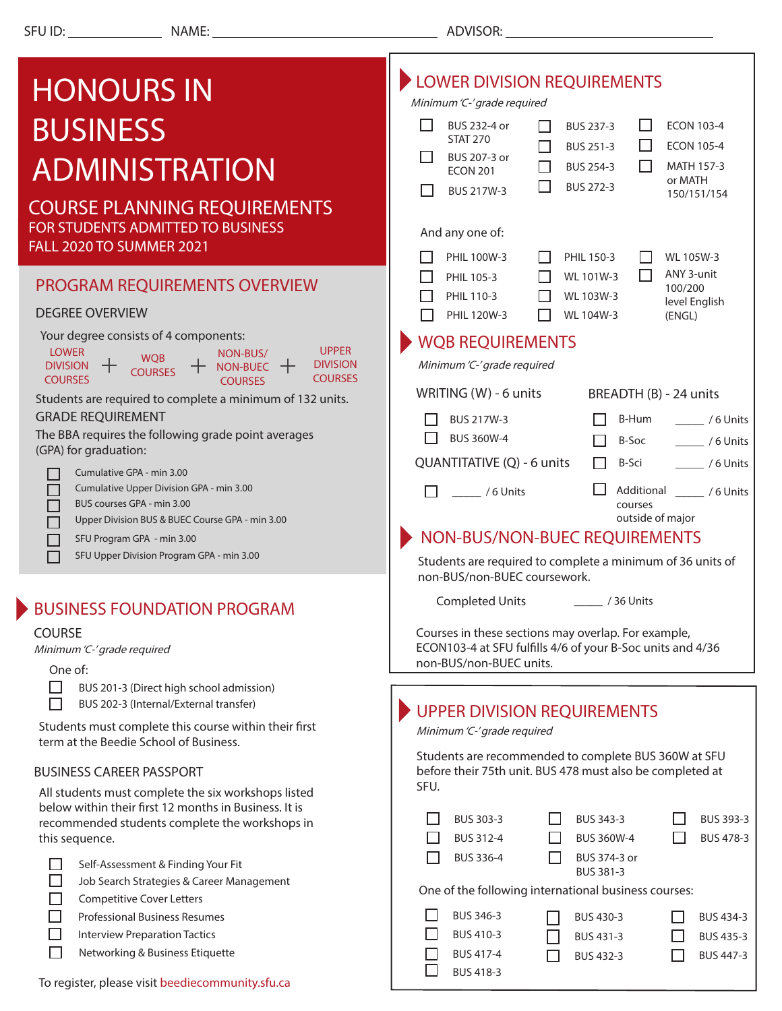## **EXAMPLE DIVISION REQUIREMENTS** HONOURS IN Minimum 'C-' grade required BUSINESS  $\Box$  BUS 232-4 or BUS 237-3 П ECON 103-4 П STAT 270 П ECON 105-4 П BUS 251-3 П BUS 207-3 or ADMINISTRATION П BUS 254-3 П MATH 157-3 ECON 201 or MATH П BUS 272-3 П BUS 217W-3 150/151/154 COURSE PLANNING REQUIREMENTS FOR STUDENTS ADMITTED TO BUSINESS And any one of: FALL 2020 TO SUMMER 2021  $\Box$  PHIL 100W-3  $\Box$  PHIL 150-3 WL 105W-3  $\Box$  $\Box$ ANY 3-unit  $\Box$  PHIL 105-3 WL 101W-3 PROGRAM REQUIREMENTS OVERVIEW 100/200  $\Box$  PHIL 110-3 WL 103W-3 level English DEGREE OVERVIEW  $\Box$  PHIL 120W-3  $\Box$  WL 104W-3 (ENGL) Your degree consists of 4 components: WQB REQUIREMENTS UPPER LOWER NON-BUS/ WO<sub>B</sub> DIVISION Minimum 'C-' grade required DIVISION + NON-BUEC + **COURSES COURSES COURSES** COURSES WRITING (W) - 6 units BREADTH (B) - 24 units Students are required to complete a minimum of 132 units. GRADE REQUIREMENT  $\Box$  BUS 217W-3 B-Hum \_\_\_\_\_ / 6 Units The BBA requires the following grade point averages  $\Box$  BUS 360W-4 B-Soc \_\_\_\_\_ / 6 Units (GPA) for graduation:  $\Box$  B-Sci  $\Box$  / 6 Units QUANTITATIVE (Q) - 6 units Cumulative GPA - min 3.00 Cumulative Upper Division GPA - min 3.00 П  $\Box$  / 6 Units Additional \_\_\_\_\_ / 6 Units  $\Box$ BUS courses GPA - min 3.00 courses outside of major Upper Division BUS & BUEC Course GPA - min 3.00 П NON-BUS/NON-BUEC REQUIREMENTS  $\Box$ SFU Program GPA - min 3.00П SFU Upper Division Program GPA - min 3.00 Students are required to complete a minimum of 36 units of non-BUS/non-BUEC coursework. \_\_\_\_\_ / 36 Units Completed Units BUSINESS FOUNDATION PROGRAM Courses in these sections may overlap. For example, COURSE ECON103-4 at SFU fulfills 4/6 of your B-Soc units and 4/36 Minimum 'C-' grade required non-BUS/non-BUEC units. One of:  $\Box$ BUS 201-3 (Direct high school admission) П BUS 202-3 (Internal/External transfer) UPPER DIVISION REQUIREMENTS Students must complete this course within their first Minimum 'C-' grade required term at the Beedie School of Business. Students are recommended to complete BUS 360W at SFU BUSINESS CAREER PASSPORT before their 75th unit. BUS 478 must also be completed at SFU. All students must complete the six workshops listed below within their first 12 months in Business. It is  $\Box$  BUS 303-3  $\Box$ BUS 343-3 П BUS 393-3 recommended students complete the workshops in this sequence.  $\Box$  BUS 312-4  $\Box$  BUS 360W-4 П BUS 478-3 П. BUS 336-4 П BUS 374-3 or  $\Box$ Self-Assessment & Finding Your Fit BUS 381-3 П Job Search Strategies & Career Management One of the following international business courses: П Competitive Cover Letters BUS 346-3 П П Professional Business Resumes BUS 430-3 П BUS 434-3 П Interview Preparation Tactics П BUS 410-3 BUS 431-3  $\Box$ BUS 435-3 П Networking & Business Etiquette BUS 417-4 П BUS 447-3  $\Box$  BUS 432-3

BUS 418-3

П

To register, please visit beediecommunity.sfu.ca